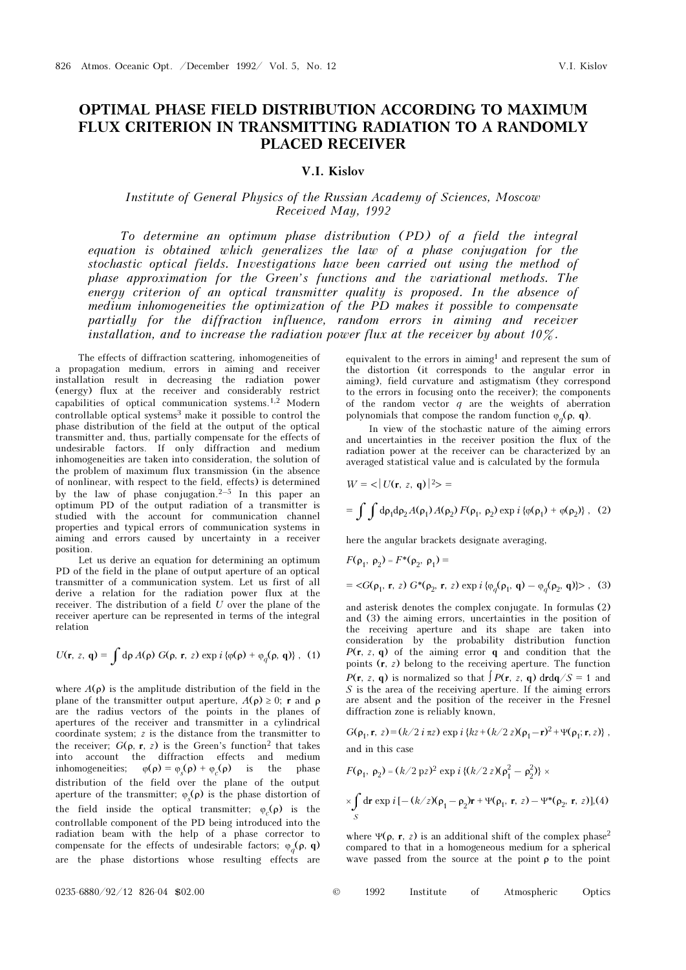## OPTIMAL PHASE FIELD DISTRIBUTION ACCORDING TO MAXIMUM FLUX CRITERION IN TRANSMITTING RADIATION TO A RANDOMLY PLACED RECEIVER

## V.I. Kislov

## Institute of General Physics of the Russian Academy of Sciences, Moscow Received May, 1992

To determine an optimum phase distribution (PD) of a field the integral equation is obtained which generalizes the law of a phase conjugation for the stochastic optical fields. Investigations have been carried out using the method of phase approximation for the Green's functions and the variational methods. The energy criterion of an optical transmitter quality is proposed. In the absence of medium inhomogeneities the optimization of the PD makes it possible to compensate partially for the diffraction influence, random errors in aiming and receiver installation, and to increase the radiation power flux at the receiver by about 10%.

The effects of diffraction scattering, inhomogeneities of a propagation medium, errors in aiming and receiver installation result in decreasing the radiation power (energy) flux at the receiver and considerably restrict capabilities of optical communication systems.<sup>1,2</sup> Modern controllable optical systems<sup>3</sup> make it possible to control the phase distribution of the field at the output of the optical transmitter and, thus, partially compensate for the effects of undesirable factors. If only diffraction and medium inhomogeneities are taken into consideration, the solution of the problem of maximum flux transmission (in the absence of nonlinear, with respect to the field, effects) is determined by the law of phase conjugation. $2-5$  In this paper an optimum PD of the output radiation of a transmitter is studied with the account for communication channel properties and typical errors of communication systems in aiming and errors caused by uncertainty in a receiver position.

Let us derive an equation for determining an optimum PD of the field in the plane of output aperture of an optical transmitter of a communication system. Let us first of all derive a relation for the radiation power flux at the receiver. The distribution of a field  $U$  over the plane of the receiver aperture can be represented in terms of the integral relation

$$
U(\mathbf{r}, z, \mathbf{q}) = \int d\rho A(\rho) G(\rho, \mathbf{r}, z) \exp i \left\{ \varphi(\rho) + \varphi_q(\rho, \mathbf{q}) \right\}, (1)
$$

where  $A(\rho)$  is the amplitude distribution of the field in the plane of the transmitter output aperture,  $A(\rho) \geq 0$ ; r and  $\rho$ are the radius vectors of the points in the planes of apertures of the receiver and transmitter in a cylindrical coordinate system; z is the distance from the transmitter to the receiver;  $G(\rho, r, z)$  is the Green's function<sup>2</sup> that takes into account the diffraction effects and medium inhomogeneities;  $\varphi(\rho) = \varphi_s(\rho) + \varphi_c(\rho)$  is the phase distribution of the field over the plane of the output aperture of the transmitter;  $\varphi_s(\rho)$  is the phase distortion of the field inside the optical transmitter;  $\varphi_c(\rho)$  is the controllable component of the PD being introduced into the radiation beam with the help of a phase corrector to compensate for the effects of undesirable factors;  $\varphi_a(\rho, q)$ are the phase distortions whose resulting effects are

equivalent to the errors in aiming<sup>1</sup> and represent the sum of the distortion (it corresponds to the angular error in aiming), field curvature and astigmatism (they correspond to the errors in focusing onto the receiver); the components of the random vector  $q$  are the weights of aberration polynomials that compose the random function  $\varphi_a(\rho, q)$ .

In view of the stochastic nature of the aiming errors and uncertainties in the receiver position the flux of the radiation power at the receiver can be characterized by an averaged statistical value and is calculated by the formula

$$
W = \langle |U(\mathbf{r}, z, \mathbf{q})|^2 \rangle =
$$
  
=  $\int \int d\rho_1 d\rho_2 A(\rho_1) A(\rho_2) F(\rho_1, \rho_2) \exp i \{\varphi(\rho_1) + \varphi(\rho_2)\}, (2)$ 

here the angular brackets designate averaging,

$$
F(\rho_1, \rho_2) = F^*(\rho_2, \rho_1) =
$$
  
=  $\langle G(\rho_1, \mathbf{r}, z) G^*(\rho_2, \mathbf{r}, z) \exp i \{\varphi_a(\rho_1, \mathbf{q}) - \varphi_a(\rho_2, \mathbf{q})\} \rangle$ , (3)

and asterisk denotes the complex conjugate. In formulas (2) and (3) the aiming errors, uncertainties in the position of the receiving aperture and its shape are taken into consideration by the probability distribution function  $P(r, z, q)$  of the aiming error q and condition that the points  $(r, z)$  belong to the receiving aperture. The function  $P(\mathbf{r}, z, \mathbf{q})$  is normalized so that  $\int P(\mathbf{r}, z, \mathbf{q}) \, d\mathbf{r} d\mathbf{q}/S = 1$  and  $S$  is the area of the receiving aperture. If the aiming errors are absent and the position of the receiver in the Fresnel diffraction zone is reliably known,

G( $\rho_1$ , r,  $z$ ) = (k/2 i  $\pi z$ ) exp i {kz + (k/2 z)( $\rho_1 - r$ )<sup>2</sup> + Ψ( $\rho_1$ ; r, z)}, and in this case

$$
F(\rho_1, \rho_2) = (k/2 \text{ p}z)^2 \exp i \{(k/2 \text{ z})(\rho_1^2 - \rho_2^2)\} \times
$$
  
 
$$
\times \int_S dr \exp i [-(k/z)(\rho_1 - \rho_2)r + \Psi(\rho_1, r, z) - \Psi^*(\rho_2, r, z)], (4)
$$
  
*S*

where  $\Psi(\rho, r, z)$  is an additional shift of the complex phase<sup>2</sup> compared to that in a homogeneous medium for a spherical wave passed from the source at the point  $\rho$  to the point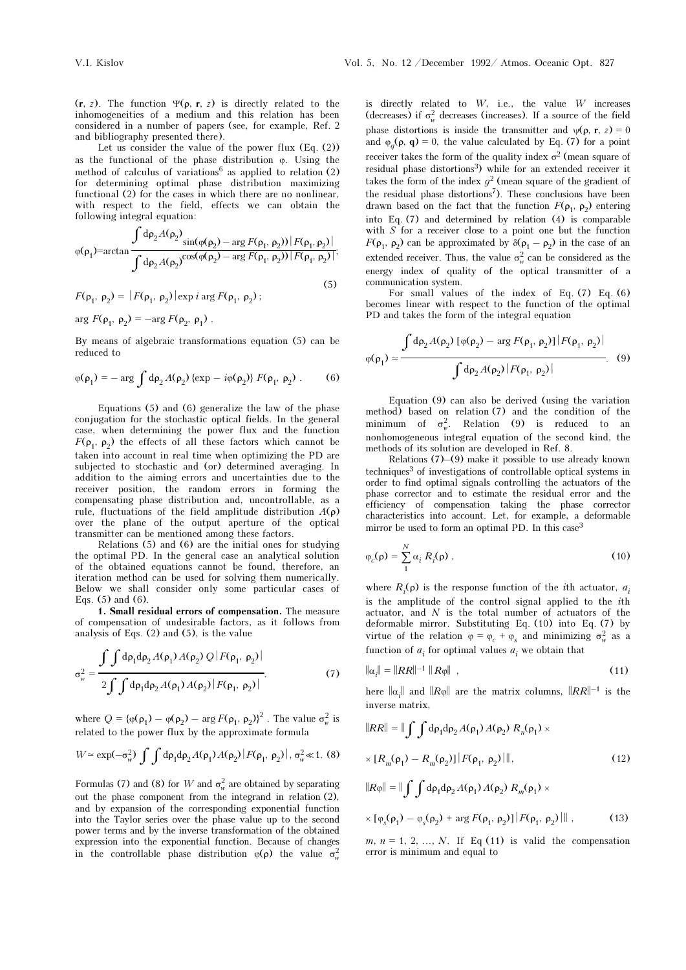(r, z). The function  $\Psi(\rho, r, z)$  is directly related to the inhomogeneities of a medium and this relation has been considered in a number of papers (see, for example, Ref. 2 and bibliography presented there).

Let us consider the value of the power flux  $(Eq. (2))$ as the functional of the phase distribution ϕ. Using the method of calculus of variations<sup>6</sup> as applied to relation  $(2)$ for determining optimal phase distribution maximizing functional (2) for the cases in which there are no nonlinear, with respect to the field, effects we can obtain the following integral equation:

$$
\varphi(\rho_1) = \arctan \frac{\int d\rho_2 A(\rho_2)}{\int d\rho_2 A(\rho_2)^{\cos(\varphi(\rho_2) - \arg F(\rho_1, \rho_2))} |F(\rho_1, \rho_2)|} {\int d\rho_2 A(\rho_2)^{\cos(\varphi(\rho_2) - \arg F(\rho_1, \rho_2))} |F(\rho_1, \rho_2)|},
$$

$$
F(\rho_1, \rho_2) = |F(\rho_1, \rho_2)| \exp i \arg F(\rho_1, \rho_2);
$$
\n(5)

arg  $F(\rho_1, \rho_2) = -\arg F(\rho_2, \rho_1)$ .

By means of algebraic transformations equation (5) can be reduced to

$$
\varphi(\rho_1) = -\arg \int d\rho_2 A(\rho_2) \left\{ \exp - i\varphi(\rho_2) \right\} F(\rho_1, \rho_2) \,. \tag{6}
$$

Equations (5) and (6) generalize the law of the phase conjugation for the stochastic optical fields. In the general case, when determining the power flux and the function  $F(\rho_1, \rho_2)$  the effects of all these factors which cannot be taken into account in real time when optimizing the PD are subjected to stochastic and (or) determined averaging. In addition to the aiming errors and uncertainties due to the receiver position, the random errors in forming the compensating phase distribution and, uncontrollable, as a rule, fluctuations of the field amplitude distribution  $A(\rho)$ over the plane of the output aperture of the optical transmitter can be mentioned among these factors.

Relations (5) and (6) are the initial ones for studying the optimal PD. In the general case an analytical solution of the obtained equations cannot be found, therefore, an iteration method can be used for solving them numerically. Below we shall consider only some particular cases of Eqs. (5) and (6).

1. Small residual errors of compensation. The measure of compensation of undesirable factors, as it follows from analysis of Eqs. (2) and (5), is the value

$$
\sigma_w^2 = \frac{\int \int d\rho_1 d\rho_2 A(\rho_1) A(\rho_2) Q |F(\rho_1, \rho_2)|}{2 \int \int d\rho_1 d\rho_2 A(\rho_1) A(\rho_2) |F(\rho_1, \rho_2)|}.
$$
(7)

where  $Q = {\varphi(\rho_1) - \varphi(\rho_2) - \arg F(\rho_1, \rho_2)}^2$ . The value  $\sigma_w^2$  is related to the power flux by the approximate formula

$$
W \simeq \exp(-\sigma_w^2) \int \int d\rho_1 d\rho_2 A(\rho_1) A(\rho_2) |F(\rho_1, \rho_2)|, \sigma_w^2 \ll 1. (8)
$$

Formulas (7) and (8) for W and  $\sigma_w^2$  are obtained by separating out the phase component from the integrand in relation (2), and by expansion of the corresponding exponential function into the Taylor series over the phase value up to the second power terms and by the inverse transformation of the obtained expression into the exponential function. Because of changes in the controllable phase distribution  $\varphi(\rho)$  the value  $\sigma_w^2$  is directly related to  $W$ , i.e., the value  $W$  increases (decreases) if  $\sigma_w^2$  decreases (increases). If a source of the field phase distortions is inside the transmitter and  $\psi(\rho, r, z) = 0$ and  $\varphi_q(\rho, \mathbf{q}) = 0$ , the value calculated by Eq. (7) for a point receiver takes the form of the quality index  $\sigma^2$  (mean square of residual phase distortions<sup>3</sup>) while for an extended receiver it takes the form of the index  $g^2$  (mean square of the gradient of the residual phase distortions<sup>7</sup>). These conclusions have been drawn based on the fact that the function  $F(\rho_1, \rho_2)$  entering into Eq. (7) and determined by relation (4) is comparable with S for a receiver close to a point one but the function  $F(\rho_1, \rho_2)$  can be approximated by  $\delta(\rho_1 - \rho_2)$  in the case of an extended receiver. Thus, the value  $\sigma_w^2$  can be considered as the energy index of quality of the optical transmitter of a communication system.

For small values of the index of Eq.  $(7)$  Eq.  $(6)$ becomes linear with respect to the function of the optimal PD and takes the form of the integral equation

$$
\varphi(\rho_1) \simeq \frac{\int d\rho_2 A(\rho_2) \left[ \varphi(\rho_2) - \arg F(\rho_1, \rho_2) \right] |F(\rho_1, \rho_2)|}{\int d\rho_2 A(\rho_2) |F(\rho_1, \rho_2)|}.
$$
 (9)

Equation (9) can also be derived (using the variation method) based on relation (7) and the condition of the minimum of  $\sigma_w^2$ . Relation (9) is reduced to an nonhomogeneous integral equation of the second kind, the methods of its solution are developed in Ref. 8.

Relations (7)–(9) make it possible to use already known techniques<sup>3</sup> of investigations of controllable optical systems in order to find optimal signals controlling the actuators of the phase corrector and to estimate the residual error and the efficiency of compensation taking the phase corrector characteristics into account. Let, for example, a deformable mirror be used to form an optimal PD. In this case<sup>3</sup>

$$
\varphi_c(\rho) = \sum_{1}^{N} \alpha_i R_i(\rho) , \qquad (10)
$$

where  $R_i(\rho)$  is the response function of the *i*th actuator,  $a_i$ is the amplitude of the control signal applied to the ith actuator, and  $N$  is the total number of actuators of the deformable mirror. Substituting Eq. (10) into Eq. (7) by virtue of the relation  $\varphi = \varphi_c + \varphi_s$  and minimizing  $\sigma_w^2$  as a function of  $a_i$  for optimal values  $a_i$  we obtain that

$$
\|\alpha_{i}\| = \|RR\|^{-1} \|R\varphi\| , \qquad (11)
$$

here  $\|\alpha_i\|$  and  $\|R\varphi\|$  are the matrix columns,  $\|RR\|^{-1}$  is the inverse matrix,

$$
||RR|| = ||\int \int d\rho_1 d\rho_2 A(\rho_1) A(\rho_2) R_n(\rho_1) \times
$$
  
\n
$$
\times [R_m(\rho_1) - R_m(\rho_2)] |F(\rho_1, \rho_2)||,
$$
(12)  
\n
$$
||R\varphi|| = ||\int \int d\rho_1 d\rho_2 A(\rho_1) A(\rho_2) R_m(\rho_1) \times
$$
  
\n
$$
\times [\varphi_s(\rho_1) - \varphi_s(\rho_2) + \arg F(\rho_1, \rho_2)] |F(\rho_1, \rho_2)||,
$$
(13)

 $m, n = 1, 2, ..., N$ . If Eq (11) is valid the compensation error is minimum and equal to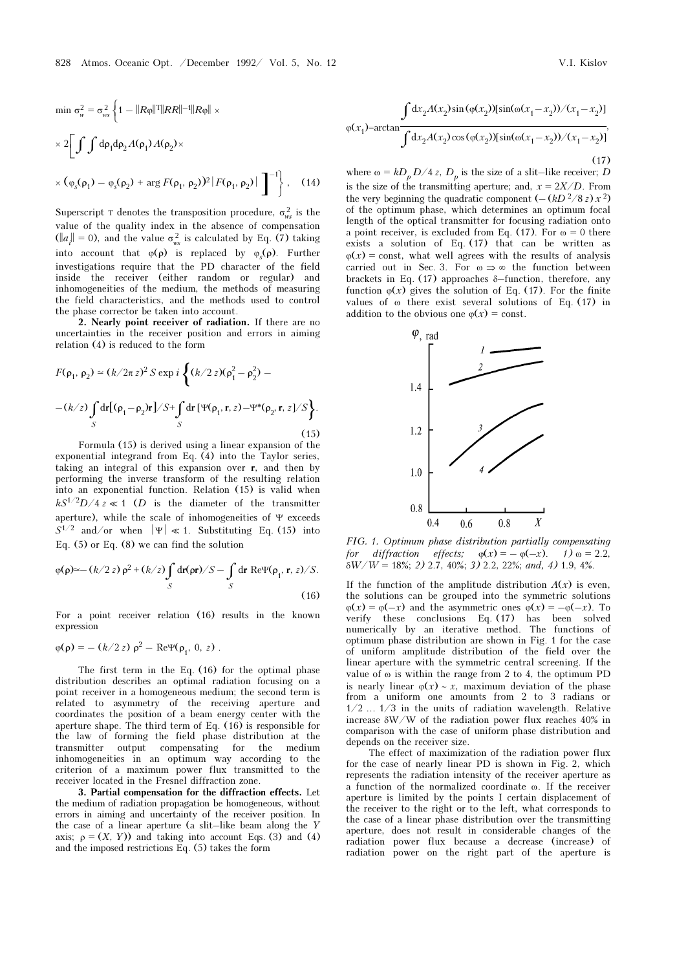$$
\min \sigma_w^2 = \sigma_{ws}^2 \left\{ 1 - ||R\varphi||^T ||RR||^{-1} ||R\varphi|| \times \right.
$$
  

$$
\times 2 \left[ \int \int d\rho_1 d\rho_2 A(\rho_1) A(\rho_2) \times \right.
$$
  

$$
\times (\varphi_s(\rho_1) - \varphi_s(\rho_2) + \arg F(\rho_1, \rho_2))^2 |F(\rho_1, \rho_2)| \right]^{-1}, \quad (14)
$$

Superscript T denotes the transposition procedure,  $\sigma_{ws}^2$  is the value of the quality index in the absence of compensation  $(||a_i|| = 0)$ , and the value  $\sigma_{ws}^2$  is calculated by Eq. (7) taking into account that  $\varphi(\rho)$  is replaced by  $\varphi_s(\rho)$ . Further investigations require that the PD character of the field inside the receiver (either random or regular) and inhomogeneities of the medium, the methods of measuring the field characteristics, and the methods used to control the phase corrector be taken into account.

2. Nearly point receiver of radiation. If there are no uncertainties in the receiver position and errors in aiming relation (4) is reduced to the form

$$
F(\rho_1, \rho_2) \simeq (k/2\pi z)^2 S \exp i \left\{ (k/2 z)(\rho_1^2 - \rho_2^2) - (k/z) \int_S dr [\Psi(\rho_1, \mathbf{r}, z) - \Psi^*(\rho_2, \mathbf{r}, z]/S \right\}.
$$
\n(15)

Formula (15) is derived using a linear expansion of the exponential integrand from Eq. (4) into the Taylor series, taking an integral of this expansion over r, and then by performing the inverse transform of the resulting relation into an exponential function. Relation (15) is valid when  $kS^{1/2}D/4z \ll 1$  (*D* is the diameter of the transmitter aperture), while the scale of inhomogeneities of Ψ exceeds  $S^{1/2}$  and/or when  $|\Psi| \ll 1$ . Substituting Eq. (15) into Eq. (5) or Eq. (8) we can find the solution

$$
\varphi(\rho) \approx -(k/2 z) \rho^2 + (k/z) \int_S d\mathbf{r}(\rho \mathbf{r})/S - \int_S d\mathbf{r} \operatorname{Re} \Psi(\rho_1, \mathbf{r}, z)/S.
$$
\n(16)

For a point receiver relation (16) results in the known expression

$$
\varphi(\rho) = -(k/2 z) \rho^2 - \text{Re}\Psi(\rho_1, 0, z) .
$$

The first term in the Eq. (16) for the optimal phase distribution describes an optimal radiation focusing on a point receiver in a homogeneous medium; the second term is related to asymmetry of the receiving aperture and coordinates the position of a beam energy center with the aperture shape. The third term of Eq. (16) is responsible for the law of forming the field phase distribution at the transmitter output compensating for the medium inhomogeneities in an optimum way according to the criterion of a maximum power flux transmitted to the receiver located in the Fresnel diffraction zone.

3. Partial compensation for the diffraction effects. Let the medium of radiation propagation be homogeneous, without errors in aiming and uncertainty of the receiver position. In the case of a linear aperture (a slit–like beam along the Y axis;  $\rho = (X, Y)$ ) and taking into account Eqs. (3) and (4) and the imposed restrictions Eq. (5) takes the form

$$
\int dx_2 A(x_2) \sin(\varphi(x_2)) [\sin(\omega(x_1 - x_2)) / (x_1 - x_2)]
$$
  

$$
\varphi(x_1) = \arctan \frac{\int dx_2 A(x_2) \cos(\varphi(x_2)) [\sin(\omega(x_1 - x_2)) / (x_1 - x_2)]}{\int dx_2 A(x_2) \cos(\varphi(x_2)) [\sin(\omega(x_1 - x_2)) / (x_1 - x_2)]},
$$
\n(17)

where  $\omega = k D_p D / 4 z$ ,  $D_p$  is the size of a slit-like receiver; D is the size of the transmitting aperture; and,  $x = 2X/D$ . From the very beginning the quadratic component  $(-(kD^2/8 s)x^2)$ of the optimum phase, which determines an optimum focal length of the optical transmitter for focusing radiation onto a point receiver, is excluded from Eq. (17). For  $\omega = 0$  there exists a solution of Eq. (17) that can be written as  $\varphi(x) = \text{const}$ , what well agrees with the results of analysis carried out in Sec. 3. For  $\omega \Rightarrow \infty$  the function between brackets in Eq. (17) approaches δ–function, therefore, any function  $\varphi(x)$  gives the solution of Eq. (17). For the finite values of ω there exist several solutions of Eq. (17) in addition to the obvious one  $\phi(x) = \text{const.}$ 



FIG. 1. Optimum phase distribution partially compensating for diffraction effects;  $\varphi(x) = -\varphi(-x)$ . 1)  $\omega = 2.2$ ,  $\delta W/W = 18\%; 2)$  2.7, 40%; 3) 2.2, 22%; and, 4) 1.9, 4%.

If the function of the amplitude distribution  $A(x)$  is even, the solutions can be grouped into the symmetric solutions  $\varphi(x) = \varphi(-x)$  and the asymmetric ones  $\varphi(x) = -\varphi(-x)$ . To verify these conclusions Eq. (17) has been solved numerically by an iterative method. The functions of optimum phase distribution are shown in Fig. 1 for the case of uniform amplitude distribution of the field over the linear aperture with the symmetric central screening. If the value of ω is within the range from 2 to 4, the optimum PD is nearly linear  $\varphi(x) \sim x$ , maximum deviation of the phase from a uniform one amounts from 2 to 3 radians or 1/2 ... 1/3 in the units of radiation wavelength. Relative increase  $\delta W/W$  of the radiation power flux reaches 40% in comparison with the case of uniform phase distribution and depends on the receiver size.

The effect of maximization of the radiation power flux for the case of nearly linear PD is shown in Fig. 2, which represents the radiation intensity of the receiver aperture as a function of the normalized coordinate ω. If the receiver aperture is limited by the points I certain displacement of the receiver to the right or to the left, what corresponds to the case of a linear phase distribution over the transmitting aperture, does not result in considerable changes of the radiation power flux because a decrease (increase) of radiation power on the right part of the aperture is